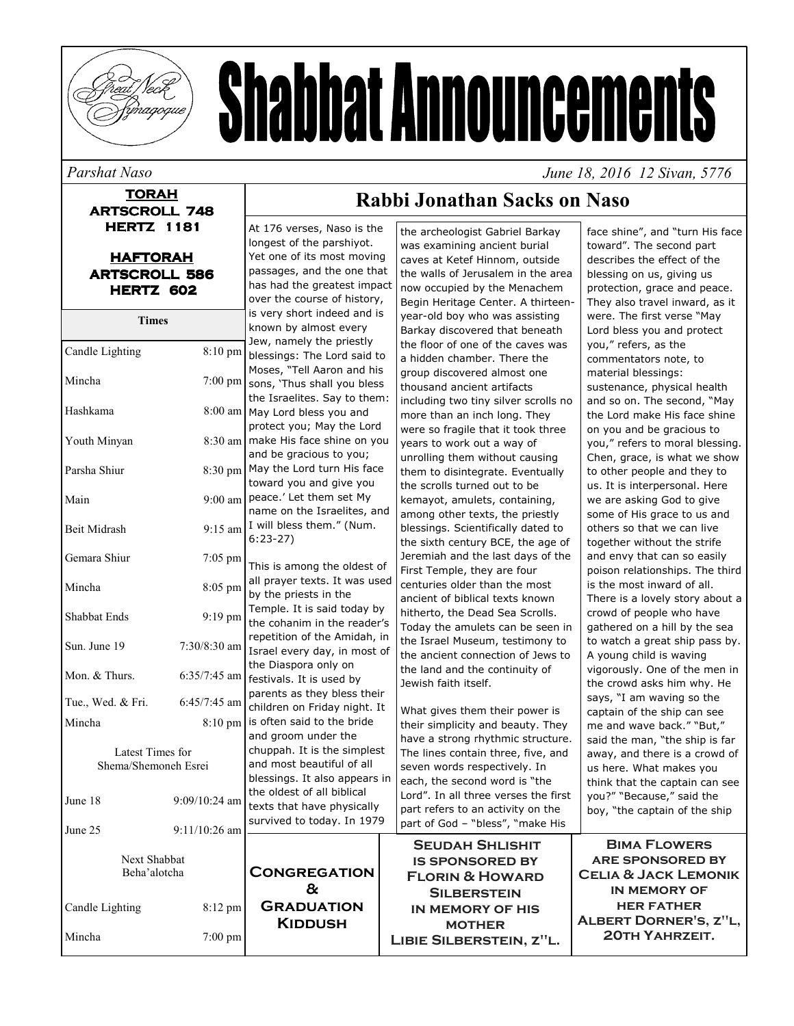

# **Shabbat Announcements**

#### Parshat Naso

#### **TORAH ARTSCROLL 748 HERTZ 1181**

| <b>HAFTORAH</b>      |
|----------------------|
| <b>ARTSCROLL 586</b> |
| HERTZ 602            |

| <b>Times</b>                             |                 | is very short indeed and is<br>known by almost every                                                                       | year-old boy who was assisting<br>Barkay discovered that beneath                                     |
|------------------------------------------|-----------------|----------------------------------------------------------------------------------------------------------------------------|------------------------------------------------------------------------------------------------------|
| Candle Lighting                          | 8:10 pm         | Jew, namely the priestly<br>blessings: The Lord said to                                                                    | the floor of one of the caves was                                                                    |
| Mincha                                   | 7:00 pm         | Moses, "Tell Aaron and his<br>sons, 'Thus shall you bless                                                                  | a hidden chamber. There the<br>group discovered almost one<br>thousand ancient artifacts             |
| Hashkama                                 |                 | the Israelites. Say to them:<br>8:00 am   May Lord bless you and<br>protect you; May the Lord                              | including two tiny silver scrolls n<br>more than an inch long. They                                  |
| Youth Minyan                             |                 | 8:30 am   make His face shine on you<br>and be gracious to you;                                                            | were so fragile that it took three<br>years to work out a way of<br>unrolling them without causing   |
| Parsha Shiur                             | 8:30 pm         | May the Lord turn His face<br>toward you and give you                                                                      | them to disintegrate. Eventually<br>the scrolls turned out to be                                     |
| Main                                     | $9:00$ am       | peace.' Let them set My<br>name on the Israelites, and                                                                     | kemayot, amulets, containing,<br>among other texts, the priestly                                     |
| Beit Midrash                             | $9:15$ am       | I will bless them." (Num.<br>blessings. Scientifically dated to<br>$6:23-27$<br>the sixth century BCE, the age o           |                                                                                                      |
| Gemara Shiur                             | 7:05 pm         | This is among the oldest of                                                                                                | Jeremiah and the last days of th<br>First Temple, they are four                                      |
| Mincha                                   | 8:05 pm         | all prayer texts. It was used<br>centuries older than the most<br>by the priests in the<br>ancient of biblical texts known |                                                                                                      |
| Shabbat Ends                             | 9:19 pm         | Temple. It is said today by<br>the cohanim in the reader's                                                                 | hitherto, the Dead Sea Scrolls.<br>Today the amulets can be seen i                                   |
| Sun. June 19                             | 7:30/8:30 am    | repetition of the Amidah, in<br>Israel every day, in most of<br>the Diaspora only on                                       | the Israel Museum, testimony to<br>the ancient connection of Jews to                                 |
| Mon. & Thurs.                            | 6:35/7:45 am    | festivals. It is used by<br>parents as they bless their                                                                    | the land and the continuity of<br>Jewish faith itself.                                               |
| Tue., Wed. & Fri.                        | 6:45/7:45 am    | children on Friday night. It                                                                                               | What gives them their power is                                                                       |
| Mincha                                   | 8:10 pm         | is often said to the bride<br>and groom under the                                                                          | their simplicity and beauty. They<br>have a strong rhythmic structure                                |
| Latest Times for<br>Shema/Shemoneh Esrei |                 | chuppah. It is the simplest<br>and most beautiful of all<br>blessings. It also appears in                                  | The lines contain three, five, and<br>seven words respectively. In<br>each, the second word is "the  |
| June 18                                  | $9:09/10:24$ am | the oldest of all biblical<br>texts that have physically                                                                   | Lord". In all three verses the firs<br>part refers to an activity on the                             |
| June 25                                  | 9:11/10:26 am   | survived to today. In 1979                                                                                                 | part of God - "bless", "make His                                                                     |
| Next Shabbat<br>Beha'alotcha             |                 | <b>CONGREGATION</b><br>&                                                                                                   | <b>SEUDAH SHLISHIT</b><br><b>IS SPONSORED BY</b><br><b>FLORIN &amp; HOWARD</b><br><b>SILBERSTEIN</b> |
| Candle Lighting                          | 8:12 pm         | <b>GRADUATION</b><br><b>KIDDUSH</b>                                                                                        | IN MEMORY OF HIS<br><b>MOTHER</b>                                                                    |
| Mincha                                   | $7:00$ pm       |                                                                                                                            | LIBIE SILBERSTEIN, Z"L.                                                                              |

At 176 verses, Naso is the

Yet one of its most moving

passages, and the one that

has had the greatest impact

over the course of history,

longest of the parshiyot.

## Rabbi Jonathan Sacks on Naso

the archeologist Gabriel Barkay

caves at Ketef Hinnom, outside

now occupied by the Menachem

was examining ancient burial

face shine", and "turn His face toward". The second part describes the effect of the the walls of Jerusalem in the area blessing on us, giving us protection, grace and peace. Begin Heritage Center, A thirteen-They also travel inward, as it were. The first verse "May Lord bless you and protect caves was you," refers, as the commentators note, to material blessings: sustenance, physical health and so on. The second, "May er scrolls no the Lord make His face shine took three on you and be gracious to you," refers to moral blessing. Chen, grace, is what we show to other people and they to us. It is interpersonal. Here we are asking God to give some of His grace to us and others so that we can live , the age of together without the strife days of the and envy that can so easily poison relationships. The third is the most inward of all. There is a lovely story about a crowd of people who have n be seen in gathered on a hill by the sea stimony to to watch a great ship pass by. n of Jews to A young child is waving vigorously. One of the men in the crowd asks him why. He says, "I am waving so the captain of the ship can see auty. They me and wave back." "But," ic structure. said the man, "the ship is far e, five, and away, and there is a crowd of us here. What makes you think that the captain can see ses the first you?" "Because," said the boy, "the captain of the ship "make His

June 18, 2016 12 Sivan, 5776

| <b>BIMA FLOWERS</b>                                                         |
|-----------------------------------------------------------------------------|
| <b>ARE SPONSORED BY</b>                                                     |
| <b>CELIA &amp; JACK LEMONIK</b><br><b>IN MEMORY OF</b><br><b>HER FATHER</b> |
| ALBERT DORNER'S, Z"L,<br><b>20TH YAHRZEIT.</b>                              |
|                                                                             |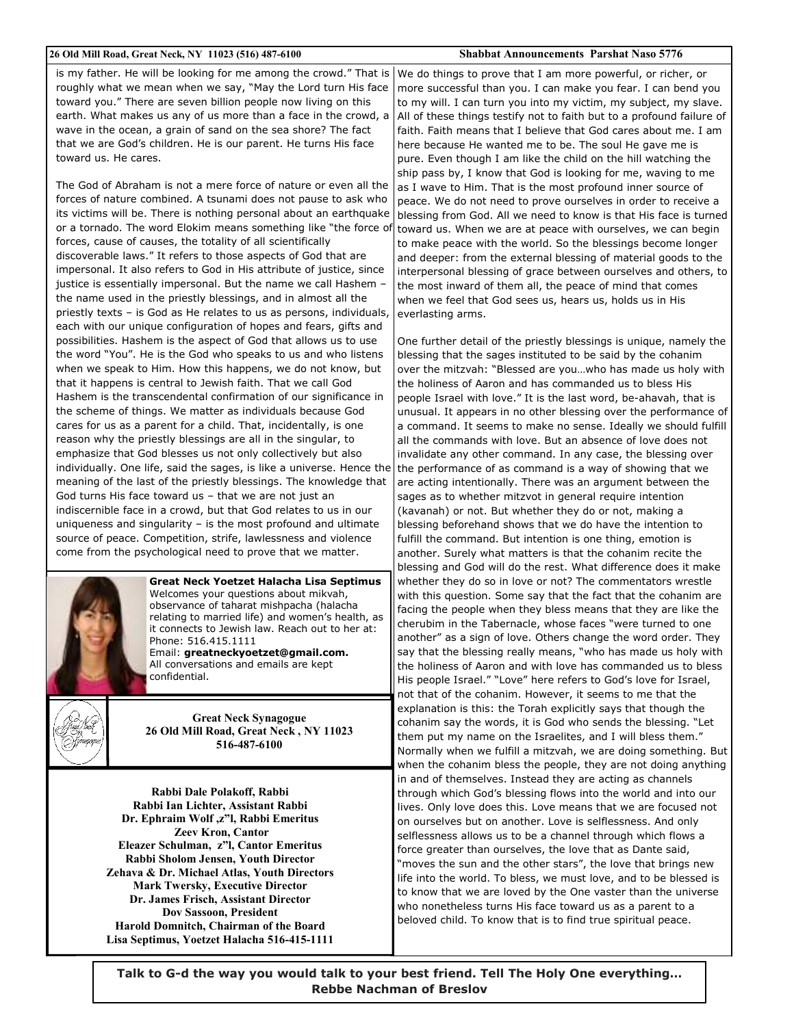#### 26 Old Mill Road, Great Neck, NY 11023 (516) 487-6100

#### **Shabbat Announcements Parshat Naso 5776**

is my father. He will be looking for me among the crowd." That is roughly what we mean when we say, "May the Lord turn His face toward you." There are seven billion people now living on this earth. What makes us any of us more than a face in the crowd, a wave in the ocean, a grain of sand on the sea shore? The fact that we are God's children. He is our parent. He turns His face toward us. He cares.

The God of Abraham is not a mere force of nature or even all the forces of nature combined. A tsunami does not pause to ask who its victims will be. There is nothing personal about an earthquake or a tornado. The word Elokim means something like "the force of forces, cause of causes, the totality of all scientifically discoverable laws." It refers to those aspects of God that are impersonal. It also refers to God in His attribute of justice, since justice is essentially impersonal. But the name we call Hashem the name used in the priestly blessings, and in almost all the priestly texts - is God as He relates to us as persons, individuals, each with our unique configuration of hopes and fears, gifts and possibilities. Hashem is the aspect of God that allows us to use the word "You". He is the God who speaks to us and who listens when we speak to Him. How this happens, we do not know, but that it happens is central to Jewish faith. That we call God Hashem is the transcendental confirmation of our significance in the scheme of things. We matter as individuals because God cares for us as a parent for a child. That, incidentally, is one reason why the priestly blessings are all in the singular, to emphasize that God blesses us not only collectively but also individually. One life, said the sages, is like a universe. Hence the meaning of the last of the priestly blessings. The knowledge that God turns His face toward us - that we are not just an indiscernible face in a crowd, but that God relates to us in our uniqueness and singularity  $-$  is the most profound and ultimate source of peace. Competition, strife, lawlessness and violence come from the psychological need to prove that we matter.



**Great Neck Yoetzet Halacha Lisa Septimus** Welcomes your questions about mikvah, observance of taharat mishpacha (halacha relating to married life) and women's health, as it connects to Jewish law. Reach out to her at: Phone: 516 415 1111 Email: greatneckyoetzet@gmail.com.

All conversations and emails are kept confidential.



**Great Neck Synagogue** 26 Old Mill Road, Great Neck, NY 11023 516-487-6100

Rabbi Dale Polakoff, Rabbi Rabbi Ian Lichter, Assistant Rabbi Dr. Ephraim Wolf, z"l, Rabbi Emeritus **Zeev Kron, Cantor** Eleazer Schulman, z"l. Cantor Emeritus Rabbi Sholom Jensen, Youth Director Zehava & Dr. Michael Atlas, Youth Directors **Mark Twersky, Executive Director** Dr. James Frisch, Assistant Director **Dov Sassoon, President** Harold Domnitch, Chairman of the Board Lisa Septimus, Yoetzet Halacha 516-415-1111 We do things to prove that I am more powerful, or richer, or more successful than you. I can make you fear. I can bend you to my will. I can turn you into my victim, my subject, my slave. All of these things testify not to faith but to a profound failure of faith. Faith means that I believe that God cares about me. I am here because He wanted me to be. The soul He gave me is pure. Even though I am like the child on the hill watching the ship pass by, I know that God is looking for me, waving to me as I wave to Him. That is the most profound inner source of peace. We do not need to prove ourselves in order to receive a blessing from God. All we need to know is that His face is turned toward us. When we are at peace with ourselves, we can begin to make peace with the world. So the blessings become longer and deeper: from the external blessing of material goods to the interpersonal blessing of grace between ourselves and others, to the most inward of them all, the peace of mind that comes when we feel that God sees us, hears us, holds us in His everlasting arms.

One further detail of the priestly blessings is unique, namely the blessing that the sages instituted to be said by the cohanim over the mitzvah: "Blessed are you...who has made us holy with the holiness of Aaron and has commanded us to bless His people Israel with love." It is the last word, be-ahavah, that is unusual. It appears in no other blessing over the performance of a command. It seems to make no sense. Ideally we should fulfill all the commands with love. But an absence of love does not invalidate any other command. In any case, the blessing over the performance of as command is a way of showing that we are acting intentionally. There was an argument between the sages as to whether mitzvot in general require intention (kavanah) or not. But whether they do or not, making a blessing beforehand shows that we do have the intention to fulfill the command. But intention is one thing, emotion is another. Surely what matters is that the cohanim recite the blessing and God will do the rest. What difference does it make whether they do so in love or not? The commentators wrestle with this question. Some say that the fact that the cohanim are facing the people when they bless means that they are like the cherubim in the Tabernacle, whose faces "were turned to one another" as a sign of love. Others change the word order. They say that the blessing really means, "who has made us holy with the holiness of Aaron and with love has commanded us to bless His people Israel." "Love" here refers to God's love for Israel, not that of the cohanim. However, it seems to me that the explanation is this: the Torah explicitly says that though the cohanim say the words, it is God who sends the blessing. "Let them put my name on the Israelites, and I will bless them." Normally when we fulfill a mitzvah, we are doing something. But when the cohanim bless the people, they are not doing anything in and of themselves. Instead they are acting as channels through which God's blessing flows into the world and into our lives. Only love does this. Love means that we are focused not on ourselves but on another. Love is selflessness. And only selflessness allows us to be a channel through which flows a force greater than ourselves, the love that as Dante said, "moves the sun and the other stars", the love that brings new life into the world. To bless, we must love, and to be blessed is to know that we are loved by the One vaster than the universe who nonetheless turns His face toward us as a parent to a beloved child. To know that is to find true spiritual peace.

Talk to G-d the way you would talk to your best friend. Tell The Holy One everything... **Rebbe Nachman of Breslov**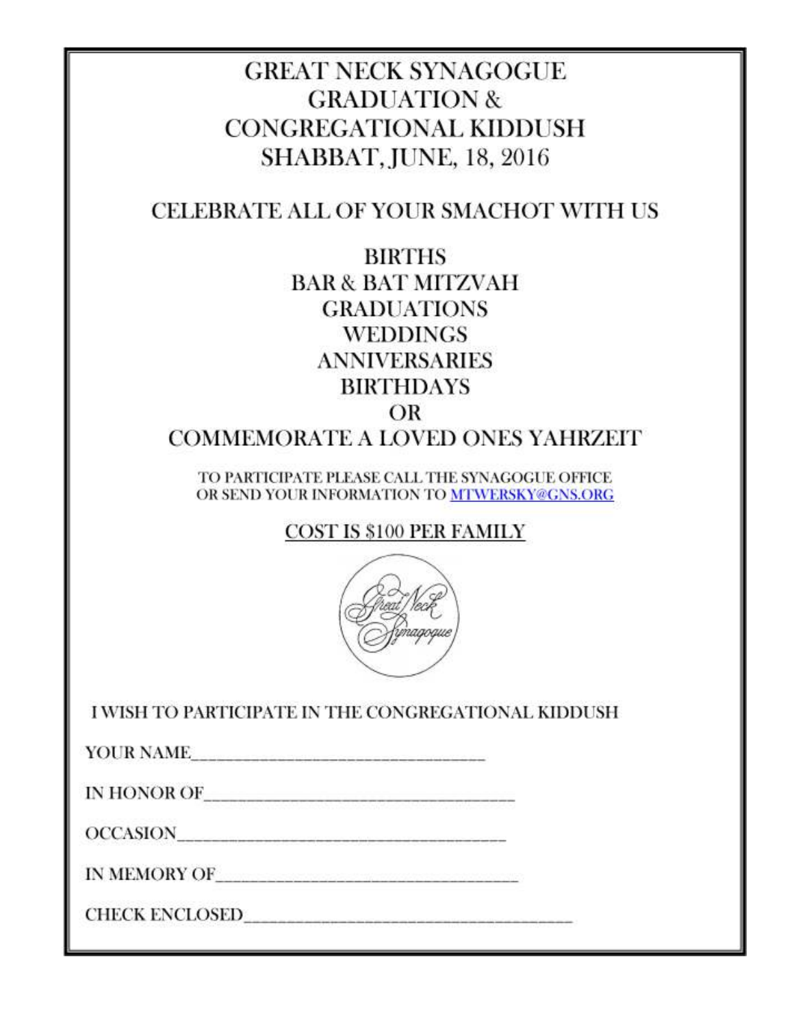## **GREAT NECK SYNAGOGUE GRADUATION & CONGREGATIONAL KIDDUSH SHABBAT, JUNE, 18, 2016**

## CELEBRATE ALL OF YOUR SMACHOT WITH US

**BIRTHS BAR & BAT MITZVAH GRADUATIONS WEDDINGS ANNIVERSARIES BIRTHDAYS** OR

**COMMEMORATE A LOVED ONES YAHRZEIT** 

TO PARTICIPATE PLEASE CALL THE SYNAGOGUE OFFICE OR SEND YOUR INFORMATION TO MTWERSKY@GNS.ORG

**COST IS \$100 PER FAMILY** 



I WISH TO PARTICIPATE IN THE CONGREGATIONAL KIDDUSH

YOUR NAME

OCCASION

IN MEMORY OF  $\hspace{0.015in}$ 

CHECK ENCLOSED POWER AND THE CHECK CHECK ENCLOSED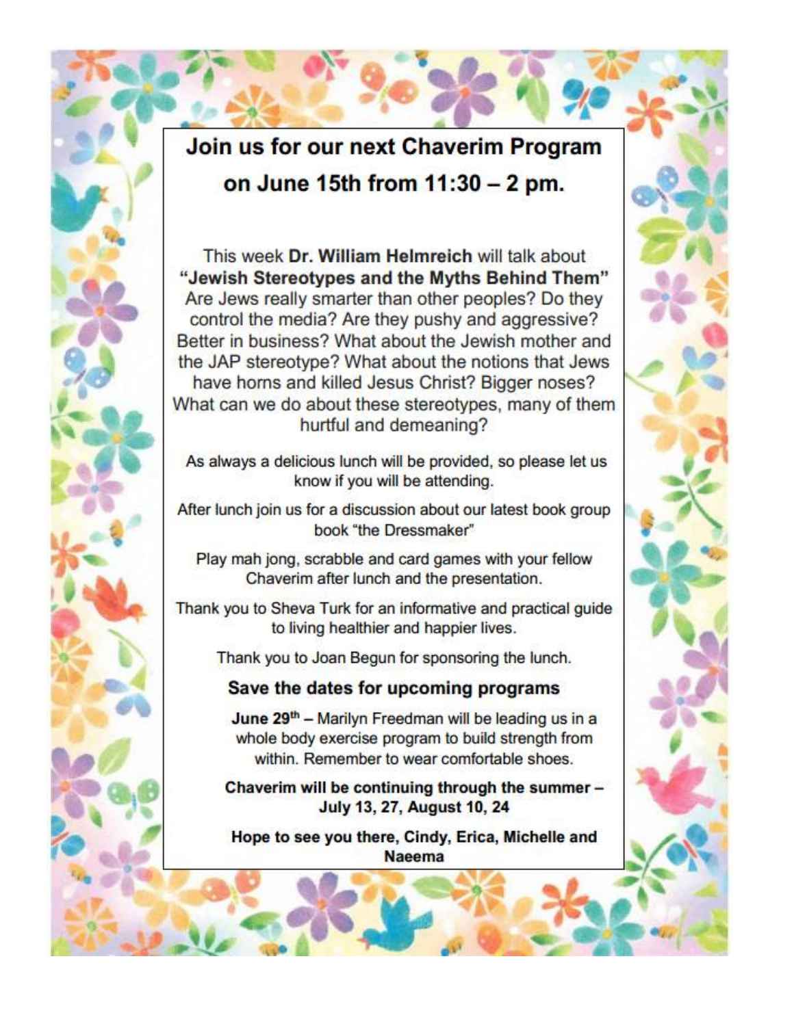## Join us for our next Chaverim Program on June 15th from 11:30 - 2 pm.

This week Dr. William Helmreich will talk about "Jewish Stereotypes and the Myths Behind Them" Are Jews really smarter than other peoples? Do they control the media? Are they pushy and aggressive? Better in business? What about the Jewish mother and the JAP stereotype? What about the notions that Jews have horns and killed Jesus Christ? Bigger noses? What can we do about these stereotypes, many of them hurtful and demeaning?

As always a delicious lunch will be provided, so please let us know if you will be attending.

After lunch join us for a discussion about our latest book group book "the Dressmaker"

Play mah jong, scrabble and card games with your fellow Chaverim after lunch and the presentation.

Thank you to Sheva Turk for an informative and practical guide to living healthier and happier lives.

Thank you to Joan Begun for sponsoring the lunch.

### Save the dates for upcoming programs

June 29th - Marilyn Freedman will be leading us in a whole body exercise program to build strength from within. Remember to wear comfortable shoes.

Chaverim will be continuing through the summer -July 13, 27, August 10, 24

Hope to see you there, Cindy, Erica, Michelle and **Naeema**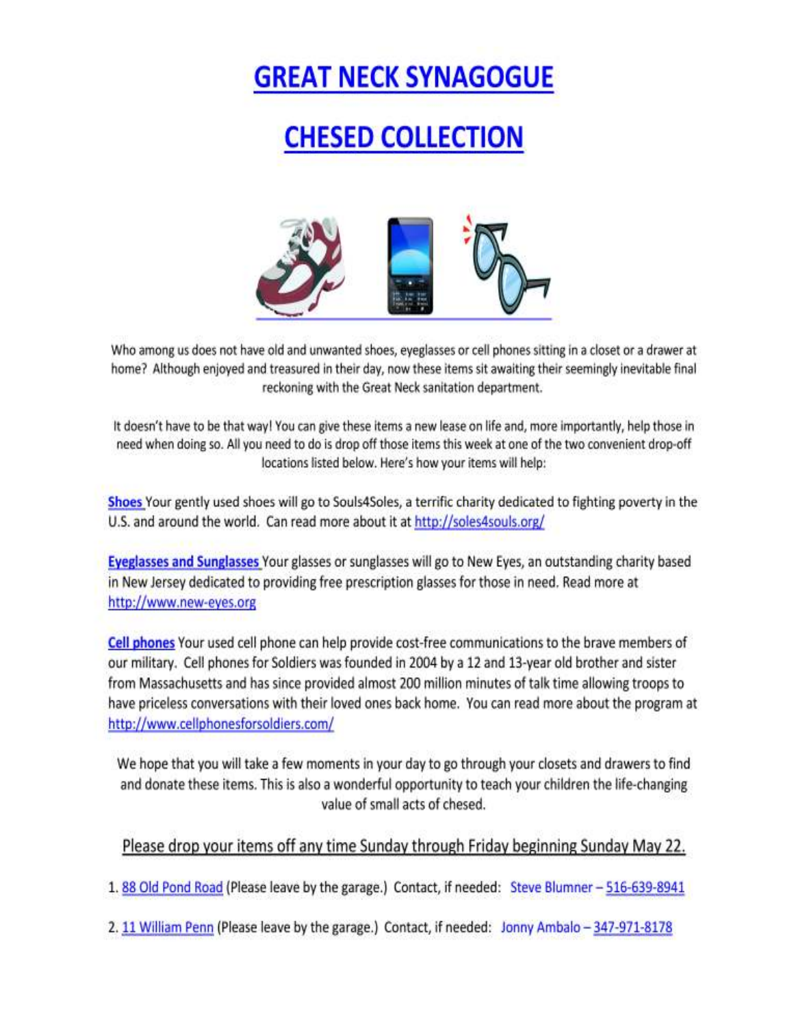# **GREAT NECK SYNAGOGUE**

## **CHESED COLLECTION**



Who among us does not have old and unwanted shoes, eyeglasses or cell phones sitting in a closet or a drawer at home? Although enjoyed and treasured in their day, now these items sit awaiting their seemingly inevitable final reckoning with the Great Neck sanitation department.

It doesn't have to be that way! You can give these items a new lease on life and, more importantly, help those in need when doing so. All you need to do is drop off those items this week at one of the two convenient drop-off locations listed below. Here's how your items will help:

Shoes Your gently used shoes will go to Souls4Soles, a terrific charity dedicated to fighting poverty in the U.S. and around the world. Can read more about it at http://soles4souls.org/

Eyeglasses and Sunglasses Your glasses or sunglasses will go to New Eyes, an outstanding charity based in New Jersey dedicated to providing free prescription glasses for those in need. Read more at http://www.new-eyes.org

Cell phones Your used cell phone can help provide cost-free communications to the brave members of our military. Cell phones for Soldiers was founded in 2004 by a 12 and 13-year old brother and sister from Massachusetts and has since provided almost 200 million minutes of talk time allowing troops to have priceless conversations with their loved ones back home. You can read more about the program at http://www.cellphonesforsoldiers.com/

We hope that you will take a few moments in your day to go through your closets and drawers to find and donate these items. This is also a wonderful opportunity to teach your children the life-changing value of small acts of chesed.

### Please drop your items off any time Sunday through Friday beginning Sunday May 22.

1.88 Old Pond Road (Please leave by the garage.) Contact, if needed: Steve Blumner - 516-639-8941

2. 11 William Penn (Please leave by the garage.) Contact, if needed: Jonny Ambalo - 347-971-8178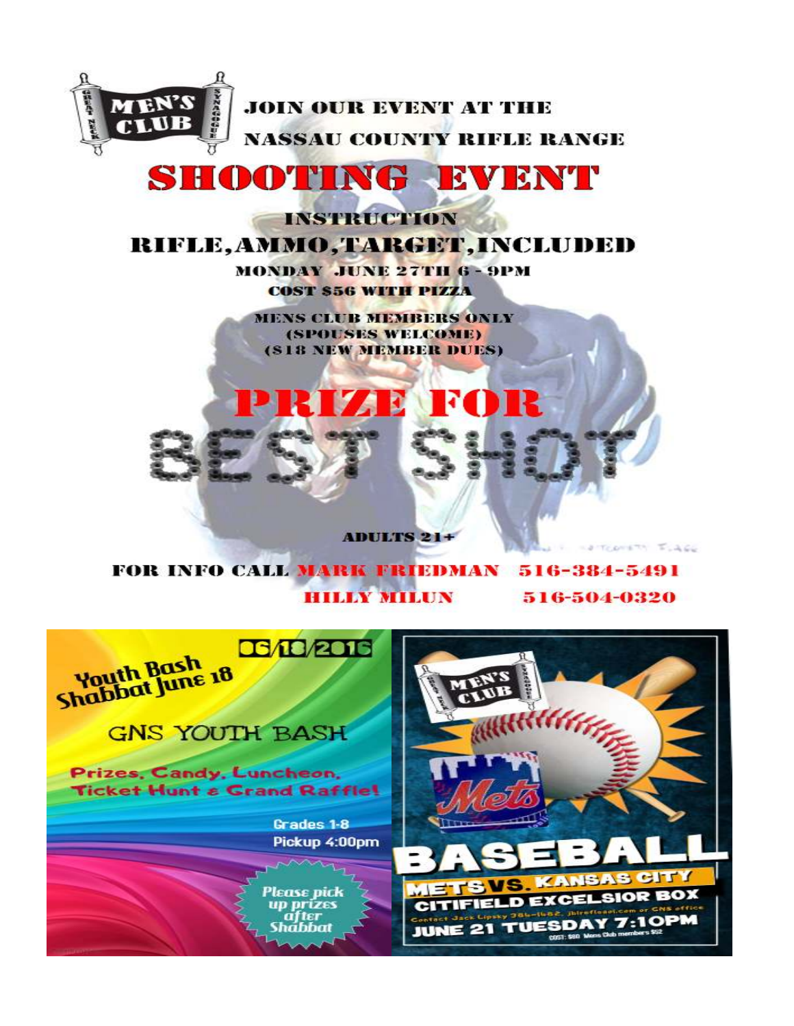

## SHOOTING EVENT

**INSTRUCTION** 

## RIFLE, AMMO, TARGET, INCLUDED

**MONDAY JUNE 27TH 6 - 9PM COST \$56 WITH PIZZA** 

**MENS CLUB MEMBERS ONLY** (SPOUSES WELCOME) (\$18 NEW MEMBER DUES)

**ADULTS 21+** 

FOR INFO CALL MARK FRIEDMAN 516-384-5491 **HILLY MILUN** 516-504-0320

TODORTH ISACC

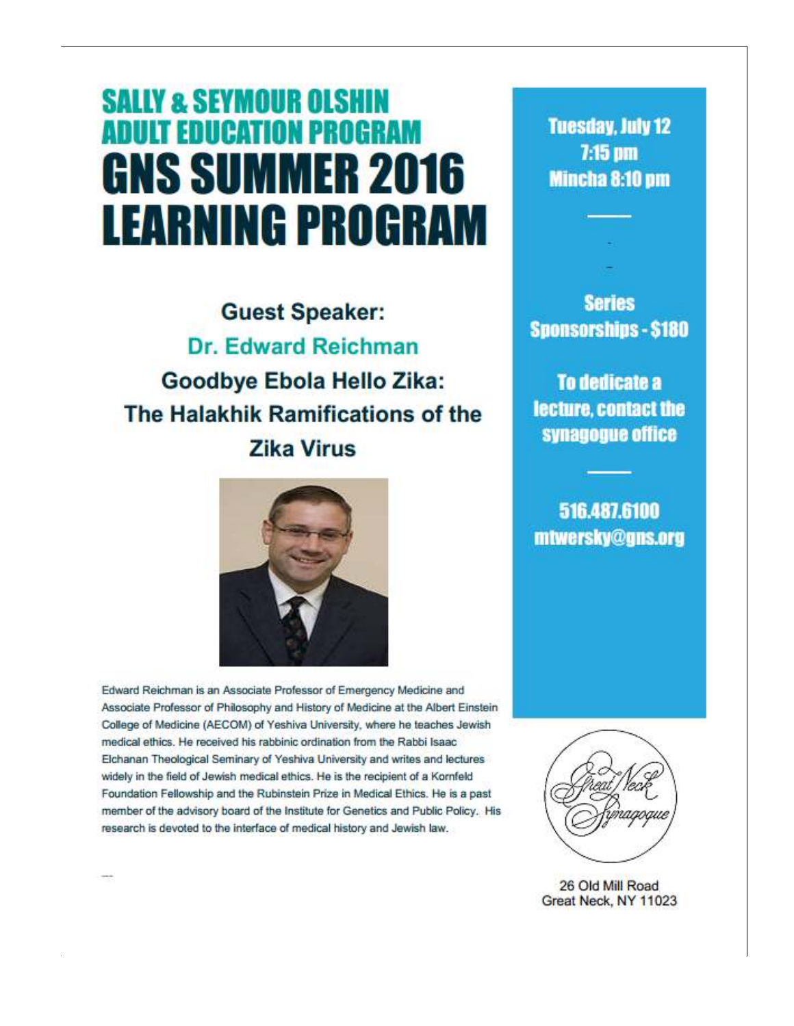# **SALLY & SEYMOUR OLSHIN ADULT EDUCATION PROGRAM GNS SUMMER 2016 LEARNING PROGRAM**

**Guest Speaker:** Dr. Edward Reichman Goodbye Ebola Hello Zika: The Halakhik Ramifications of the **Zika Virus** 



Edward Reichman is an Associate Professor of Emergency Medicine and Associate Professor of Philosophy and History of Medicine at the Albert Einstein College of Medicine (AECOM) of Yeshiva University, where he teaches Jewish medical ethics. He received his rabbinic ordination from the Rabbi Isaac Elchanan Theological Seminary of Yeshiva University and writes and lectures widely in the field of Jewish medical ethics. He is the recipient of a Kornfeld Foundation Fellowship and the Rubinstein Prize in Medical Ethics. He is a past member of the advisory board of the Institute for Genetics and Public Policy. His research is devoted to the interface of medical history and Jewish law.

**Tuesday, July 12** 7:15 pm **Mincha 8:10 pm** 

**Series Sponsorships - \$180** 

To dedicate a lecture, contact the synagogue office

516.487.6100 mtwersky@gns.org



26 Old Mill Road Great Neck, NY 11023